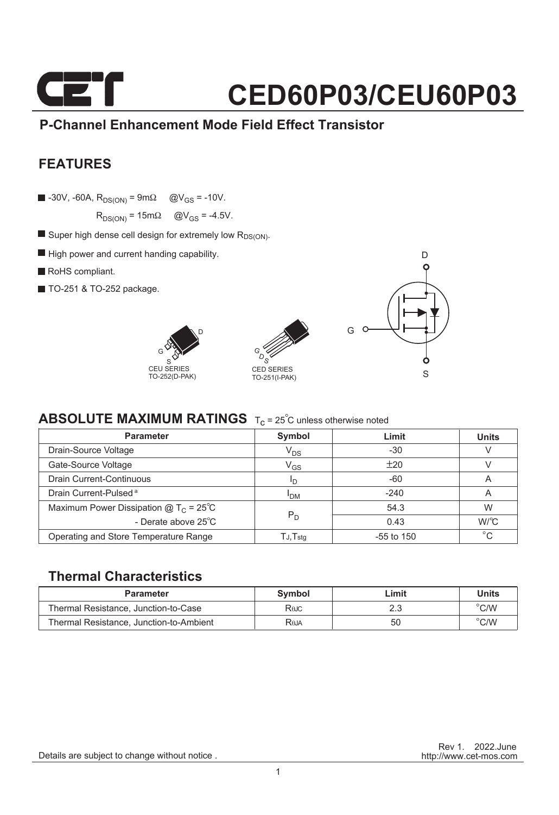

### **P-Channel Enhancement Mode Field Effect Transistor**

### **FEATURES**

 $\blacksquare$  -30V, -60A,  $R_{DS(ON)} = 9m\Omega$  @V<sub>GS</sub> = -10V.

 $R_{DS(ON)} = 15m\Omega$   $\textcircled{a}V_{GS} = -4.5V$ .

- $\blacksquare$  Super high dense cell design for extremely low  $R_{DS(ON)}$ .
- High power and current handing capability.
- RoHS compliant.
- TO-251 & TO-252 package.







#### **ABSOLUTE MAXIMUM RATINGS** T<sub>c</sub> = 25<sup>°</sup>C unless otherwise noted

| <b>Parameter</b>                               | Symbol                     | Limit        | <b>Units</b> |
|------------------------------------------------|----------------------------|--------------|--------------|
| Drain-Source Voltage                           | $V_{DS}$                   | $-30$        |              |
| Gate-Source Voltage                            | $\mathsf{V}_{\mathsf{GS}}$ | ±20          |              |
| Drain Current-Continuous                       | חי                         | $-60$        | A            |
| Drain Current-Pulsed <sup>a</sup>              | <b>I<sub>DM</sub></b>      | $-240$       | A            |
| Maximum Power Dissipation $@T_C = 25^{\circ}C$ |                            | 54.3         | W            |
| - Derate above 25°C                            | $P_D$                      | 0.43         | W/C          |
| Operating and Store Temperature Range          | TJ,Tstq                    | $-55$ to 150 | $^{\circ}C$  |

#### **Thermal Characteristics**

| <b>Parameter</b>                        | Symbol      | _imit | Units          |
|-----------------------------------------|-------------|-------|----------------|
| Thermal Resistance, Junction-to-Case    | Rajc        |       | $\degree$ C/W  |
| Thermal Resistance, Junction-to-Ambient | <b>Reja</b> | 50    | $^{\circ}$ C/W |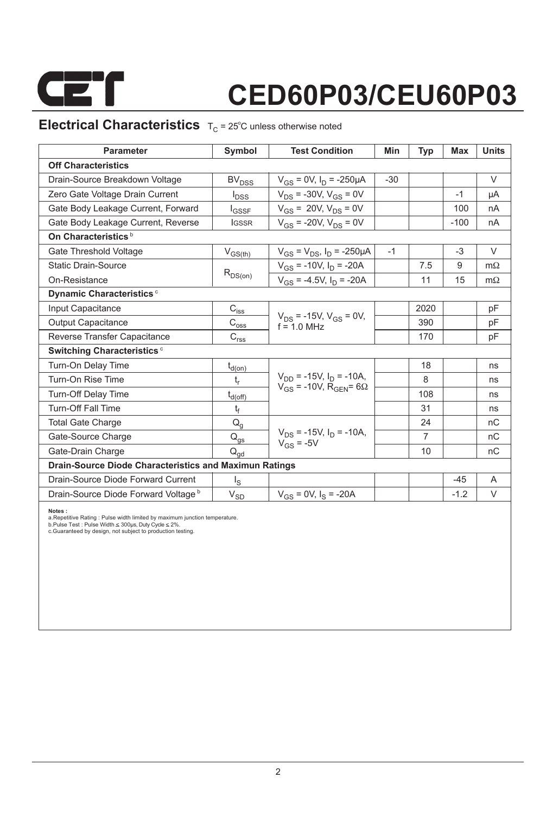

### **Electrical Characteristics**  $T_C = 25^\circ C$  unless otherwise noted

| <b>Parameter</b>                                              | Symbol                                                                | <b>Test Condition</b>                            | Min   | Typ            | <b>Max</b> | <b>Units</b> |  |  |  |
|---------------------------------------------------------------|-----------------------------------------------------------------------|--------------------------------------------------|-------|----------------|------------|--------------|--|--|--|
| <b>Off Characteristics</b>                                    |                                                                       |                                                  |       |                |            |              |  |  |  |
| Drain-Source Breakdown Voltage                                | <b>BV<sub>DSS</sub></b>                                               | $V_{GS}$ = 0V, $I_D$ = -250µA                    | $-30$ |                |            | $\vee$       |  |  |  |
| Zero Gate Voltage Drain Current                               | $I_{DSS}$                                                             | $V_{DS}$ = -30V, $V_{GS}$ = 0V                   |       |                | $-1$       | μA           |  |  |  |
| Gate Body Leakage Current, Forward                            | $I_{GSSF}$                                                            | $V_{GS}$ = 20V, $V_{DS}$ = 0V                    |       |                | 100        | nA           |  |  |  |
| Gate Body Leakage Current, Reverse                            | <b>IGSSR</b>                                                          | $V_{GS}$ = -20V, $V_{DS}$ = 0V                   |       |                | $-100$     | nA           |  |  |  |
| On Characteristics <sup>b</sup>                               |                                                                       |                                                  |       |                |            |              |  |  |  |
| Gate Threshold Voltage                                        | $V_{GS(th)}$                                                          | $V_{GS} = V_{DS}$ , $I_D = -250 \mu A$           | $-1$  |                | $-3$       | $\vee$       |  |  |  |
| <b>Static Drain-Source</b>                                    |                                                                       | $V_{GS}$ = -10V, $I_D$ = -20A                    |       | 7.5            | 9          | $m\Omega$    |  |  |  |
| On-Resistance                                                 | $R_{DS(on)}$                                                          | $V_{GS}$ = -4.5V, $I_D$ = -20A                   |       | 11             | 15         | $m\Omega$    |  |  |  |
| Dynamic Characteristics <sup>c</sup>                          |                                                                       |                                                  |       |                |            |              |  |  |  |
| Input Capacitance                                             | $C_{i\underline{s}\underline{s}}$                                     |                                                  |       | 2020           |            | pF           |  |  |  |
| <b>Output Capacitance</b>                                     | $\text{C}_{\text{oss}}$                                               | $V_{DS}$ = -15V, $V_{GS}$ = 0V,<br>$f = 1.0$ MHz |       | 390            |            | pF           |  |  |  |
| Reverse Transfer Capacitance                                  | $\mathsf{C}_{\mathsf{r}\underline{\mathsf{s}}\underline{\mathsf{s}}}$ |                                                  |       | 170            |            | pF           |  |  |  |
| Switching Characteristics <sup>c</sup>                        |                                                                       |                                                  |       |                |            |              |  |  |  |
| Turn-On Delay Time                                            | $t_{d(on)}$                                                           |                                                  |       | 18             |            | ns           |  |  |  |
| Turn-On Rise Time                                             | $t_{r}$                                                               | $V_{DD}$ = -15V, $I_D$ = -10A,                   |       | 8              |            | ns           |  |  |  |
| <b>Turn-Off Delay Time</b>                                    | $t_{d(\text{off})}$                                                   | $V_{GS}$ = -10V, R <sub>GEN</sub> = 6 $\Omega$   |       | 108            |            | ns           |  |  |  |
| <b>Turn-Off Fall Time</b>                                     | t <sub>f</sub>                                                        |                                                  |       | 31             |            | ns           |  |  |  |
| <b>Total Gate Charge</b>                                      | $Q_q$                                                                 |                                                  |       | 24             |            | nC           |  |  |  |
| Gate-Source Charge                                            | $Q_{gs}$                                                              | $V_{DS}$ = -15V, $I_D$ = -10A,<br>$V_{GS}$ = -5V |       | $\overline{7}$ |            | nC           |  |  |  |
| Gate-Drain Charge                                             | $Q_{\text{ad}}$                                                       |                                                  |       | 10             |            | nC           |  |  |  |
| <b>Drain-Source Diode Characteristics and Maximun Ratings</b> |                                                                       |                                                  |       |                |            |              |  |  |  |
| Drain-Source Diode Forward Current                            | ءِا                                                                   |                                                  |       |                | $-45$      | A            |  |  |  |
| Drain-Source Diode Forward Voltage b                          | $\mathrm{V}_{\mathrm{SD}}$                                            | $V_{GS} = 0V$ , $I_S = -20A$                     |       |                | $-1.2$     | $\vee$       |  |  |  |

**Notes :**

a.Repetitive Rating : Pulse width limited by maximum junction temperature.<br>b.Pulse Test : Pulse Width ≤ 300µs, Duty Cycle ≤ 2%.<br>c.Guaranteed by design, not subject to production testing.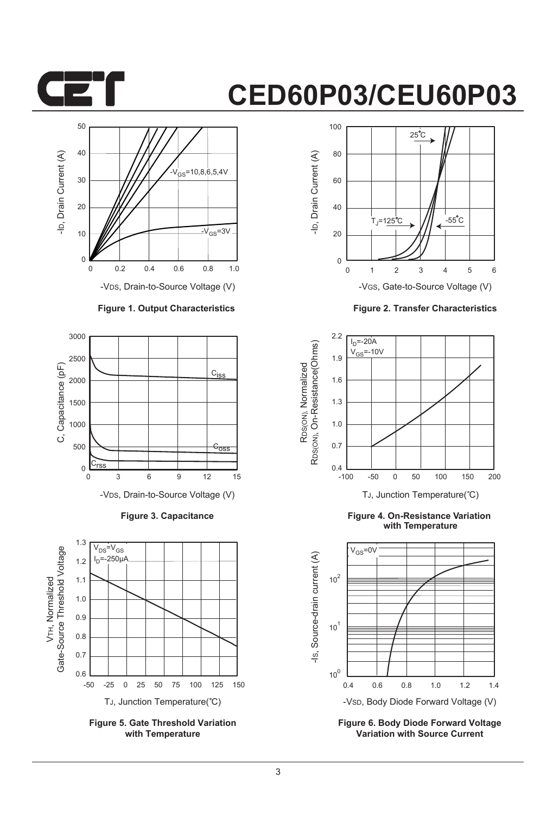



-VDS, Drain-to-Source Voltage (V)

#### **Figure 1. Output Characteristics**



**Figure 3. Capacitance**



**Figure 5. Gate Threshold Variation with Temperature**



**Figure 2. Transfer Characteristics**



**Figure 4. On-Resistance Variation with Temperature**



**Figure 6. Body Diode Forward Voltage Variation with Source Current**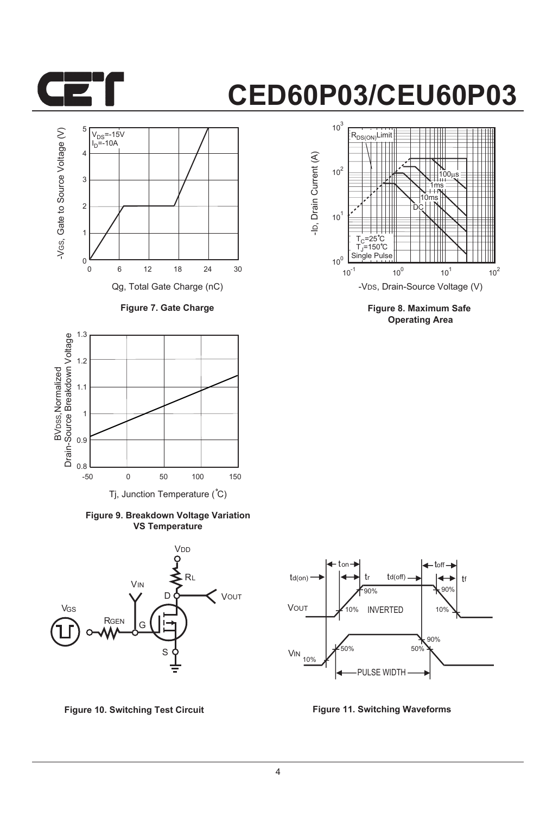



**Figure 7. Gate Charge**



**Figure 9. Breakdown Voltage Variation VS Temperature**





**Figure 8. Maximum Safe Operating Area**



**Figure 10. Switching Test Circuit Figure 11. Switching Waveforms**